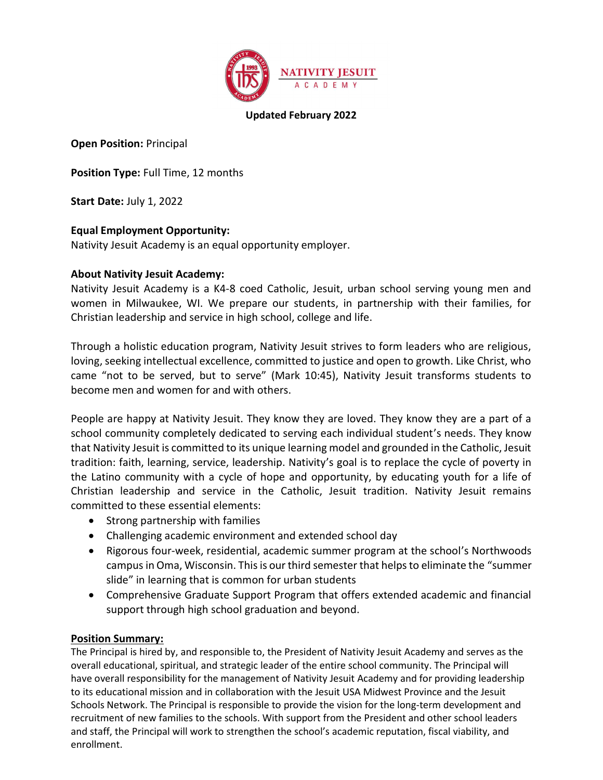

### Updated February 2022

Open Position: Principal

Position Type: Full Time, 12 months

Start Date: July 1, 2022

# Equal Employment Opportunity:

Nativity Jesuit Academy is an equal opportunity employer.

## About Nativity Jesuit Academy:

Nativity Jesuit Academy is a K4-8 coed Catholic, Jesuit, urban school serving young men and women in Milwaukee, WI. We prepare our students, in partnership with their families, for Christian leadership and service in high school, college and life.

Through a holistic education program, Nativity Jesuit strives to form leaders who are religious, loving, seeking intellectual excellence, committed to justice and open to growth. Like Christ, who came "not to be served, but to serve" (Mark 10:45), Nativity Jesuit transforms students to become men and women for and with others.

People are happy at Nativity Jesuit. They know they are loved. They know they are a part of a school community completely dedicated to serving each individual student's needs. They know that Nativity Jesuit is committed to its unique learning model and grounded in the Catholic, Jesuit tradition: faith, learning, service, leadership. Nativity's goal is to replace the cycle of poverty in the Latino community with a cycle of hope and opportunity, by educating youth for a life of Christian leadership and service in the Catholic, Jesuit tradition. Nativity Jesuit remains committed to these essential elements:

- Strong partnership with families
- Challenging academic environment and extended school day
- Rigorous four-week, residential, academic summer program at the school's Northwoods campus in Oma, Wisconsin. This is our third semester that helps to eliminate the "summer slide" in learning that is common for urban students
- Comprehensive Graduate Support Program that offers extended academic and financial support through high school graduation and beyond.

## Position Summary:

The Principal is hired by, and responsible to, the President of Nativity Jesuit Academy and serves as the overall educational, spiritual, and strategic leader of the entire school community. The Principal will have overall responsibility for the management of Nativity Jesuit Academy and for providing leadership to its educational mission and in collaboration with the Jesuit USA Midwest Province and the Jesuit Schools Network. The Principal is responsible to provide the vision for the long-term development and recruitment of new families to the schools. With support from the President and other school leaders and staff, the Principal will work to strengthen the school's academic reputation, fiscal viability, and enrollment.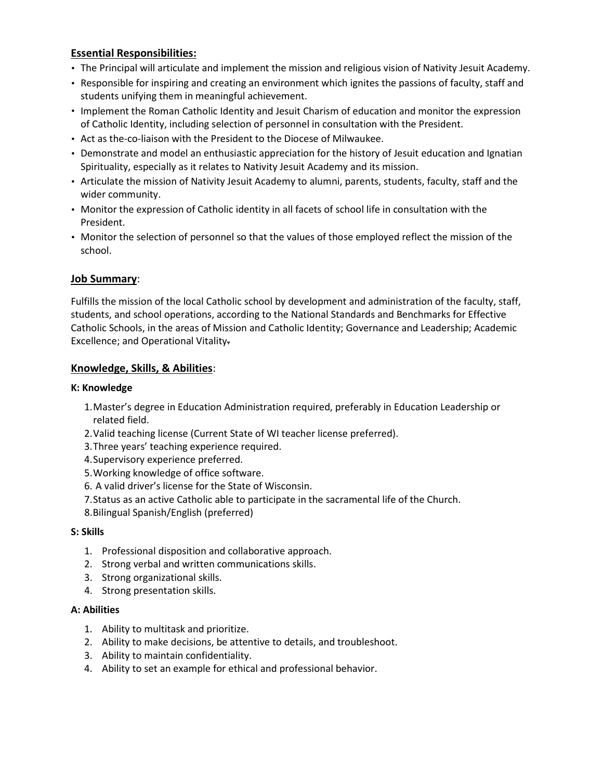# Essential Responsibilities:

- The Principal will articulate and implement the mission and religious vision of Nativity Jesuit Academy.
- Responsible for inspiring and creating an environment which ignites the passions of faculty, staff and students unifying them in meaningful achievement.
- Implement the Roman Catholic Identity and Jesuit Charism of education and monitor the expression of Catholic Identity, including selection of personnel in consultation with the President.
- Act as the-co-liaison with the President to the Diocese of Milwaukee.
- Demonstrate and model an enthusiastic appreciation for the history of Jesuit education and Ignatian Spirituality, especially as it relates to Nativity Jesuit Academy and its mission.
- Articulate the mission of Nativity Jesuit Academy to alumni, parents, students, faculty, staff and the wider community.
- Monitor the expression of Catholic identity in all facets of school life in consultation with the President.
- Monitor the selection of personnel so that the values of those employed reflect the mission of the school.

## Job Summary:

Fulfills the mission of the local Catholic school by development and administration of the faculty, staff, students, and school operations, according to the National Standards and Benchmarks for Effective Catholic Schools, in the areas of Mission and Catholic Identity; Governance and Leadership; Academic Excellence; and Operational Vitality.

## Knowledge, Skills, & Abilities:

### K: Knowledge

- 1.Master's degree in Education Administration required, preferably in Education Leadership or related field.
- 2.Valid teaching license (Current State of WI teacher license preferred).
- 3.Three years' teaching experience required.
- 4.Supervisory experience preferred.
- 5.Working knowledge of office software.
- 6. A valid driver's license for the State of Wisconsin.
- 7.Status as an active Catholic able to participate in the sacramental life of the Church.
- 8.Bilingual Spanish/English (preferred)

### S: Skills

- 1. Professional disposition and collaborative approach.
- 2. Strong verbal and written communications skills.
- 3. Strong organizational skills.
- 4. Strong presentation skills.

### A: Abilities

- 1. Ability to multitask and prioritize.
- 2. Ability to make decisions, be attentive to details, and troubleshoot.
- 3. Ability to maintain confidentiality.
- 4. Ability to set an example for ethical and professional behavior.